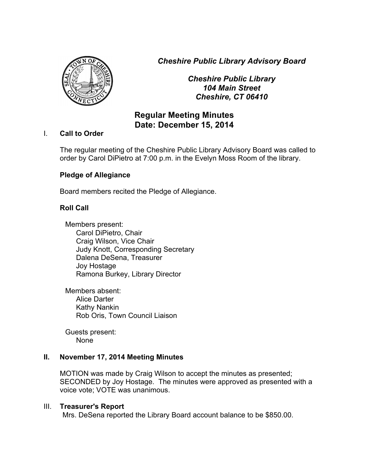*Cheshire Public Library Advisory Board*



*Cheshire Public Library 104 Main Street Cheshire, CT 06410*

# **Regular Meeting Minutes Date: December 15, 2014**

### I. **Call to Order**

The regular meeting of the Cheshire Public Library Advisory Board was called to order by Carol DiPietro at 7:00 p.m. in the Evelyn Moss Room of the library.

# **Pledge of Allegiance**

Board members recited the Pledge of Allegiance.

# **Roll Call**

Members present: Carol DiPietro, Chair Craig Wilson, Vice Chair Judy Knott, Corresponding Secretary Dalena DeSena, Treasurer Joy Hostage Ramona Burkey, Library Director

Members absent: Alice Darter Kathy Nankin Rob Oris, Town Council Liaison

Guests present: None

### **II. November 17, 2014 Meeting Minutes**

MOTION was made by Craig Wilson to accept the minutes as presented; SECONDED by Joy Hostage. The minutes were approved as presented with a voice vote; VOTE was unanimous.

### III. **Treasurer's Report**

Mrs. DeSena reported the Library Board account balance to be \$850.00.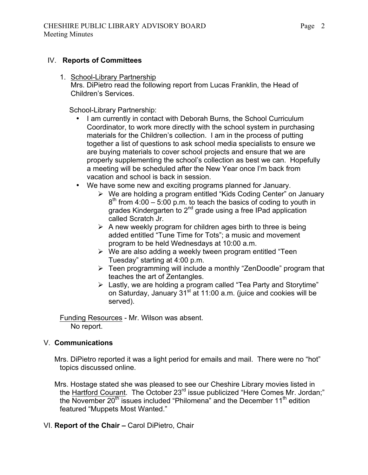### IV. **Reports of Committees**

1. School-Library Partnership Mrs. DiPietro read the following report from Lucas Franklin, the Head of Children's Services.

School-Library Partnership:

- I am currently in contact with Deborah Burns, the School Curriculum Coordinator, to work more directly with the school system in purchasing materials for the Children's collection. I am in the process of putting together a list of questions to ask school media specialists to ensure we are buying materials to cover school projects and ensure that we are properly supplementing the school's collection as best we can. Hopefully a meeting will be scheduled after the New Year once I'm back from vacation and school is back in session.
- We have some new and exciting programs planned for January.
	- $\triangleright$  We are holding a program entitled "Kids Coding Center" on January  $8<sup>th</sup>$  from 4:00 – 5:00 p.m. to teach the basics of coding to youth in grades Kindergarten to 2<sup>nd</sup> grade using a free IPad application called Scratch Jr.
	- $\triangleright$  A new weekly program for children ages birth to three is being added entitled "Tune Time for Tots"; a music and movement program to be held Wednesdays at 10:00 a.m.
	- $\triangleright$  We are also adding a weekly tween program entitled "Teen" Tuesday" starting at 4:00 p.m.
	- $\triangleright$  Teen programming will include a monthly "ZenDoodle" program that teaches the art of Zentangles.
	- $\triangleright$  Lastly, we are holding a program called "Tea Party and Storytime" on Saturday, January 31<sup>st</sup> at 11:00 a.m. (juice and cookies will be served).

Funding Resources - Mr. Wilson was absent. No report.

### V. **Communications**

Mrs. DiPietro reported it was a light period for emails and mail. There were no "hot" topics discussed online.

Mrs. Hostage stated she was pleased to see our Cheshire Library movies listed in the Hartford Courant. The October 23<sup>rd</sup> issue publicized "Here Comes Mr. Jordan;" the November  $20<sup>th</sup>$  issues included "Philomena" and the December 11<sup>th</sup> edition featured "Muppets Most Wanted."

VI. **Report of the Chair –** Carol DiPietro, Chair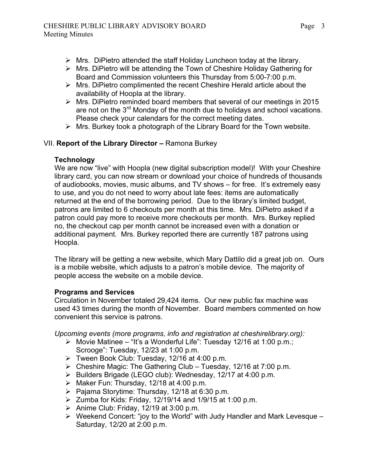- $\triangleright$  Mrs. DiPietro attended the staff Holiday Luncheon today at the library.
- $\triangleright$  Mrs. DiPietro will be attending the Town of Cheshire Holiday Gathering for Board and Commission volunteers this Thursday from 5:00-7:00 p.m.
- $\triangleright$  Mrs. DiPietro complimented the recent Cheshire Herald article about the availability of Hoopla at the library.
- $\triangleright$  Mrs. DiPietro reminded board members that several of our meetings in 2015 are not on the 3<sup>rd</sup> Monday of the month due to holidays and school vacations. Please check your calendars for the correct meeting dates.
- $\triangleright$  Mrs. Burkey took a photograph of the Library Board for the Town website.

# VII. **Report of the Library Director –** Ramona Burkey

### **Technology**

We are now "live" with Hoopla (new digital subscription model)! With your Cheshire library card, you can now stream or download your choice of hundreds of thousands of audiobooks, movies, music albums, and TV shows – for free. It's extremely easy to use, and you do not need to worry about late fees: items are automatically returned at the end of the borrowing period. Due to the library's limited budget, patrons are limited to 6 checkouts per month at this time. Mrs. DiPietro asked if a patron could pay more to receive more checkouts per month. Mrs. Burkey replied no, the checkout cap per month cannot be increased even with a donation or additional payment. Mrs. Burkey reported there are currently 187 patrons using Hoopla.

The library will be getting a new website, which Mary Dattilo did a great job on. Ours is a mobile website, which adjusts to a patron's mobile device. The majority of people access the website on a mobile device.

# **Programs and Services**

Circulation in November totaled 29,424 items. Our new public fax machine was used 43 times during the month of November. Board members commented on how convenient this service is patrons.

*Upcoming events (more programs, info and registration at cheshirelibrary.org):*

- Ø Movie Matinee "It's a Wonderful Life": Tuesday 12/16 at 1:00 p.m.; Scrooge": Tuesday, 12/23 at 1:00 p.m.
- $\triangleright$  Tween Book Club: Tuesday, 12/16 at 4:00 p.m.
- $\triangleright$  Cheshire Magic: The Gathering Club Tuesday, 12/16 at 7:00 p.m.
- $\triangleright$  Builders Brigade (LEGO club): Wednesday, 12/17 at 4:00 p.m.
- Ø Maker Fun: Thursday, 12/18 at 4:00 p.m.
- $\triangleright$  Pajama Storytime: Thursday, 12/18 at 6:30 p.m.
- $\geq$  Zumba for Kids: Friday, 12/19/14 and 1/9/15 at 1:00 p.m.
- $\triangleright$  Anime Club: Friday, 12/19 at 3:00 p.m.
- $\triangleright$  Weekend Concert: "joy to the World" with Judy Handler and Mark Levesque Saturday, 12/20 at 2:00 p.m.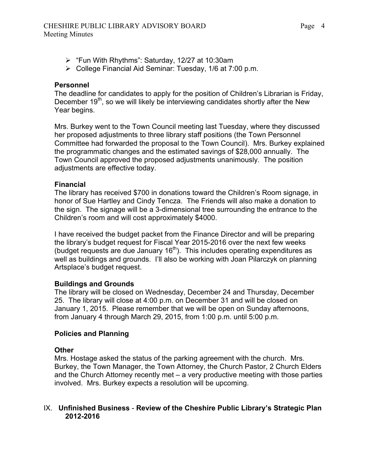- $\triangleright$  "Fun With Rhythms": Saturday, 12/27 at 10:30am
- $\triangleright$  College Financial Aid Seminar: Tuesday, 1/6 at 7:00 p.m.

### **Personnel**

The deadline for candidates to apply for the position of Children's Librarian is Friday, December 19<sup>th</sup>, so we will likely be interviewing candidates shortly after the New Year begins.

Mrs. Burkey went to the Town Council meeting last Tuesday, where they discussed her proposed adjustments to three library staff positions (the Town Personnel Committee had forwarded the proposal to the Town Council). Mrs. Burkey explained the programmatic changes and the estimated savings of \$28,000 annually. The Town Council approved the proposed adjustments unanimously. The position adjustments are effective today.

### **Financial**

The library has received \$700 in donations toward the Children's Room signage, in honor of Sue Hartley and Cindy Tencza. The Friends will also make a donation to the sign. The signage will be a 3-dimensional tree surrounding the entrance to the Children's room and will cost approximately \$4000.

I have received the budget packet from the Finance Director and will be preparing the library's budget request for Fiscal Year 2015-2016 over the next few weeks (budget requests are due January  $16<sup>th</sup>$ ). This includes operating expenditures as well as buildings and grounds. I'll also be working with Joan Pilarczyk on planning Artsplace's budget request.

# **Buildings and Grounds**

The library will be closed on Wednesday, December 24 and Thursday, December 25. The library will close at 4:00 p.m. on December 31 and will be closed on January 1, 2015. Please remember that we will be open on Sunday afternoons, from January 4 through March 29, 2015, from 1:00 p.m. until 5:00 p.m.

### **Policies and Planning**

### **Other**

Mrs. Hostage asked the status of the parking agreement with the church. Mrs. Burkey, the Town Manager, the Town Attorney, the Church Pastor, 2 Church Elders and the Church Attorney recently met – a very productive meeting with those parties involved. Mrs. Burkey expects a resolution will be upcoming.

### IX. **Unfinished Business** - **Review of the Cheshire Public Library's Strategic Plan 2012-2016**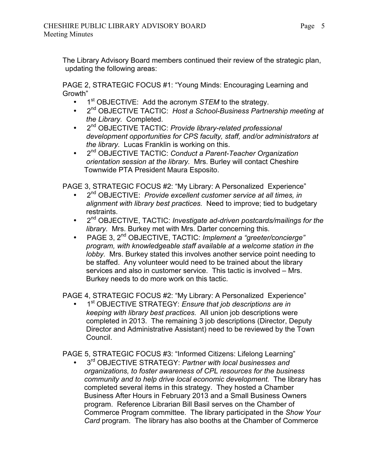The Library Advisory Board members continued their review of the strategic plan, updating the following areas:

PAGE 2, STRATEGIC FOCUS #1: "Young Minds: Encouraging Learning and Growth"

- 1<sup>st</sup> OBJECTIVE: Add the acronym *STEM* to the strategy.<br>• 2<sup>nd</sup> OBJECTIVE TACTIC: Host a School-Business Partne
- 2nd OBJECTIVE TACTIC: *Host a School-Business Partnership meeting at the Library.* Completed.
- 2nd OBJECTIVE TACTIC: *Provide library-related professional development opportunities for CPS faculty, staff, and/or administrators at the library.* Lucas Franklin is working on this.
- 2nd OBJECTIVE TACTIC: *Conduct a Parent-Teacher Organization orientation session at the library.* Mrs. Burley will contact Cheshire Townwide PTA President Maura Esposito.

PAGE 3, STRATEGIC FOCUS #2: "My Library: A Personalized Experience"

- 2nd OBJECTIVE: *Provide excellent customer service at all times, in alignment with library best practices.* Need to improve; tied to budgetary restraints.
- 2nd OBJECTIVE, TACTIC: *Investigate ad-driven postcards/mailings for the library.* Mrs. Burkey met with Mrs. Darter concerning this.
- PAGE 3, 2nd OBJECTIVE, TACTIC: *Implement a "greeter/concierge" program, with knowledgeable staff available at a welcome station in the lobby.* Mrs. Burkey stated this involves another service point needing to be staffed. Any volunteer would need to be trained about the library services and also in customer service. This tactic is involved – Mrs. Burkey needs to do more work on this tactic.

PAGE 4, STRATEGIC FOCUS #2: "My Library: A Personalized Experience"

• 1st OBJECTIVE STRATEGY: *Ensure that job descriptions are in keeping with library best practices.* All union job descriptions were completed in 2013. The remaining 3 job descriptions (Director, Deputy Director and Administrative Assistant) need to be reviewed by the Town Council.

PAGE 5, STRATEGIC FOCUS #3: "Informed Citizens: Lifelong Learning"

• 3rd OBJECTIVE STRATEGY: *Partner with local businesses and organizations, to foster awareness of CPL resources for the business community and to help drive local economic development.* The library has completed several items in this strategy. They hosted a Chamber Business After Hours in February 2013 and a Small Business Owners program. Reference Librarian Bill Basil serves on the Chamber of Commerce Program committee. The library participated in the *Show Your Card* program. The library has also booths at the Chamber of Commerce